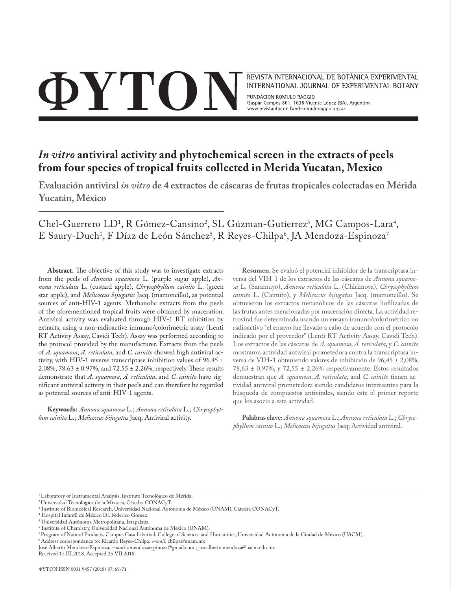# **OYTO**

REVISTA INTERNACIONAL DE BOTÁNICA EXPERIMENTAL INTERNATIONAL JOURNAL OF EXPERIMENTAL BOTANY

FUNDACION ROMULO RAGGIO Gaspar Campos 861, 1638 Vicente López (BA), Argentina www.revistaphyton.fund-romuloraggio.org.ar

# *In vitro* **antiviral activity and phytochemical screen in the extracts of peels from four species of tropical fruits collected in Merida Yucatan, Mexico**

**Evaluación antiviral** *in vitro* **de 4 extractos de cáscaras de frutas tropicales colectadas en Mérida Yucatán, México**

Chel-Guerrero LD<sup>1</sup>, R Gómez-Cansino<sup>2</sup>, SL Gúzman-Gutierrez<sup>3</sup>, MG Campos-Lara<sup>4</sup>, E Saury-Duch<sup>1</sup>, F Díaz de León Sánchez<sup>5</sup>, R Reyes-Chilpa<sup>6</sup>, JA Mendoza-Espinoza<sup>7</sup>

**Abstract.** The objective of this study was to investigate extracts from the peels of *Annona squamosa* L. (purple sugar apple), *Annona reticulata* L. (custard apple), *Chrysophyllum cainito* L. (green star apple), and *Melicoccus bijugatus* Jacq. (mamoncillo), as potential sources of anti-HIV-1 agents. Methanolic extracts from the peels of the aforementioned tropical fruits were obtained by maceration. Antiviral activity was evaluated through HIV-1 RT inhibition by extracts, using a non-radioactive immuno/colorimetric assay (Lenti RT Activity Assay, Cavidi Tech). Assay was performed according to the protocol provided by the manufacturer. Extracts from the peels of *A. squamosa*, *A. reticulata*, and *C. cainito* showed high antiviral activity, with HIV-1 reverse transcriptase inhibition values of 96.45 ± 2.08%, 78.63 ± 0.97%, and 72.55 ± 2.26%, respectively. These results demonstrate that *A. squamosa*, *A. reticulata*, and *C. cainito* have significant antiviral activity in their peels and can therefore be regarded as potential sources of anti-HIV-1 agents.

**Keywords:** *Annona squamosa* L.; *Annona reticulata* L.; *Chrysophyllum cainito* L.; *Melicoccus bijugatus* Jacq; Antiviral activity.

**Resumen.** Se evaluó el potencial inhibidor de la transcriptasa inversa del VIH-1 de los extractos de las cáscaras de *Annona squamosa* L. (Saramuyo), *Annona reticulata* L. (Chirimoya), *Chrysophyllum cainito* L. (Caimito), y *Melicoccus bijugatus* Jacq. (mamoncillo). Se obtuvieron los extractos metanólicos de las cáscaras liofilizadas de las frutas antes mencionadas por maceración directa. La actividad retroviral fue determinada usando un ensayo inmuno/colorimétrico no radioactivo "el ensayo fue llevado a cabo de acuerdo con el protocolo indicado por el proveedor" (Lenti RT Activity Assay, Cavidi Tech). Los extractos de las cáscaras de *A. squamosa*, *A. reticulata*, y *C. cainito*  mostraron actividad antiviral prometedora contra la transcriptasa inversa de VIH-1 obteniendo valores de inhibición de 96,45 ± 2,08%, 78,63 ± 0,97%, y 72,55 ± 2,26% respectivamente. Estos resultados demuestran que *A. squamosa*, *A. reticulata*, and *C. cainito* tienen actividad antiviral prometedora siendo candidatos interesantes para la búsqueda de compuestos antivirales, siendo este el primer reporte que los asocia a esta actividad.

**Palabras clave:** *Annona squamosa* L.; *Annona reticulata* L.; *Chrysophyllum cainito* L.; *Melicoccus bijugatus* Jacq; Actividad antiviral.

<sup>1</sup> Laboratory of Instrumental Analysis, Instituto Tecnológico de Mérida.

<sup>2</sup> Universidad Tecnológica de la Mixteca, Cátedra CONACyT.

<sup>3</sup> Institute of Biomedical Research, Universidad Nacional Autónoma de México (UNAM), Cátedra CONACyT.

<sup>4</sup> Hospital Infantil de México Dr. Federico Gómez.

<sup>5</sup> Universidad Autónoma Metropolitana, Iztapalapa.

<sup>6</sup> Institute of Chemistry, Universidad Nacional Autónoma de México (UNAM).

<sup>7</sup> Program of Natural Products, Campus Casa Libertad, College of Sciences and Humanities, Universidad Autónoma de la Ciudad de México (UACM).

<sup>\*</sup>Address correspondence to: Ricardo Reyes-Chilpa. *e-mail:* chilpa@unam.mx

José Alberto Mendoza-Espinoza, *e-mail:* amendozaespinoza@gmail.com ; josealberto.mendoza@uacm.edu.mx Received 17.III.2018. Accepted 25.VII.2018.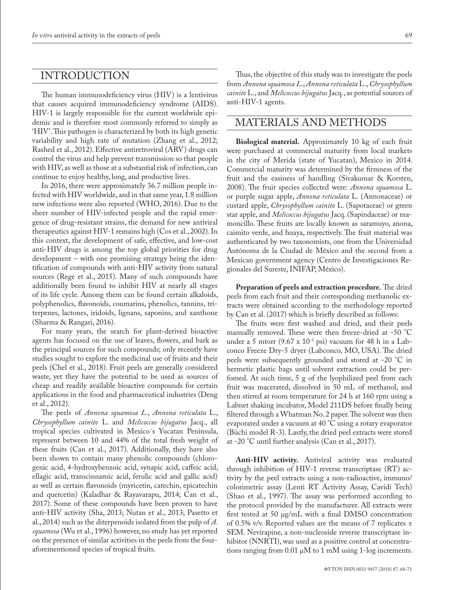### INTRODUCTION

The human immunodeficiency virus (HIV) is a lentivirus that causes acquired immunodeficiency syndrome (AIDS). HIV-1 is largely responsible for the current worldwide epidemic and is therefore most commonly referred to simply as 'HIV'. This pathogen is characterized by both its high genetic variability and high rate of mutation (Zhang et al., 2012; Rashed et al., 2012). Effective antiretroviral (ARV) drugs can control the virus and help prevent transmission so that people with HIV, as well as those at a substantial risk of infection, can continue to enjoy healthy, long, and productive lives.

In 2016, there were approximately 36.7 million people infected with HIV worldwide, and in that same year, 1.8 million new infections were also reported (WHO, 2016). Due to the sheer number of HIV-infected people and the rapid emergence of drug-resistant strains, the demand for new antiviral therapeutics against HIV-1 remains high (Cos et al., 2002). In this context, the development of safe, effective, and low-cost anti-HIV drugs is among the top global priorities for drug development – with one promising strategy being the identification of compounds with anti-HIV activity from natural sources (Rege et al., 2015). Many of such compounds have additionally been found to inhibit HIV at nearly all stages of its life cycle. Among them can be found certain alkaloids, polyphenolics, flavonoids, coumarins, phenolics, tannins, triterpenes, lactones, iridoids, lignans, saponins, and xanthone (Sharma & Rangari, 2016).

For many years, the search for plant-derived bioactive agents has focused on the use of leaves, flowers, and bark as the principal sources for such compounds; only recently have studies sought to explore the medicinal use of fruits and their peels (Chel et al., 2018). Fruit peels are generally considered waste, yet they have the potential to be used as sources of cheap and readily available bioactive compounds for certain applications in the food and pharmaceutical industries (Deng et al., 2012).

The peels of *Annona squamosa L*., *Annona reticulata* L., *Chrysophyllum cainito* L. and *Melicoccus bijugatus* Jacq., all tropical species cultivated in Mexico´s Yucatan Peninsula, represent between 10 and 44% of the total fresh weight of these fruits (Can et al., 2017). Additionally, they have also been shown to contain many phenolic compounds (chlorogenic acid, 4-hydroxybenzoic acid, synapic acid, caffeic acid, ellagic acid, transcinnamic acid, ferulic acid and gallic acid) as well as certain flavonoids (myricetin, catechin, epicatechin and quercetin) (Kaladhar & Rayavarapu, 2014; Can et al., 2017). Some of these compounds have been proven to have anti-HIV activity (Sha, 2013; Nutan et al., 2013; Pasetto et al., 2014) such as the diterpenoids isolated from the pulp of *A. squamosa* (Wu et al., 1996) however, no study has yet reported on the presence of similar activities in the peels from the fouraforementioned species of tropical fruits.

Thus, the objective of this study was to investigate the peels from *Annona squamosa L*., *Annona reticulata* L., *Chrysophyllum cainito* L., and *Melicoccus bijugatus* Jacq., as potential sources of anti-HIV-1 agents.

# MATERIALS AND METHODS

**Biological material.** Approximately 10 kg of each fruit were purchased at commercial maturity from local markets in the city of Merida (state of Yucatan), Mexico in 2014. Commercial maturity was determined by the firmness of the fruit and the easiness of handling (Sivakumar & Korsten, 2008). The fruit species collected were: *Annona squamosa* L. or purple sugar apple, *Annona reticulata* L. (Annonaceae) or custard apple, *Chrysophyllum cainito* L. (Sapotaceae) or green star apple, and *Melicoccus bijugatus* Jacq. (Sapindaceae) or mamoncillo. These fruits are locally known as saramuyo, anona, caimito verde, and huaya, respectively. The fruit material was authenticated by two taxonomists, one from the Universidad Autónoma de la Ciudad de México and the second from a Mexican government agency (Centro de Investigaciones Regionales del Sureste, INIFAP, México).

**Preparation of peels and extraction procedure***.* The dried peels from each fruit and their corresponding methanolic extracts were obtained according to the methodology reported by Can et al. (2017) which is briefly described as follows:

The fruits were first washed and dried, and their peels manually removed. These were then freeze-dried at -50 °C under a 5 mtorr (9.67 x  $10^{-5}$  psi) vacuum for 48 h in a Labconco Freeze Dry-5 dryer (Labconco, MO, USA). The dried peels were subsequently grounded and stored at -20 °C in hermetic plastic bags until solvent extraction could be perfomed. At such time, 5 g of the lyophilized peel from each fruit was macerated, dissolved in 50 mL of methanol, and then stirred at room temperature for 24 h at 160 rpm using a Labnet shaking incubator, Model 211DS before finally being filtered through a Whatman No. 2 paper. The solvent was then evaporated under a vacuum at 40 °C using a rotary evaporator (Büchi model R-3). Lastly, the dried peel extracts were stored at -20 °C until further analysis (Can et al., 2017).

**Anti-HIV activity***.* Antiviral activity was evaluated through inhibition of HIV-1 reverse transcriptase (RT) activity by the peel extracts using a non-radioactive, immuno/ colorimetric assay (Lenti RT Activity Assay, Cavidi Tech) (Shao et al., 1997). The assay was performed according to the protocol provided by the manufacturer. All extracts were first tested at 50 µg/mL with a final DMSO concentration of 0.5% v/v. Reported values are the means of 7 replicates ± SEM. Nevirapine, a non-nucleoside reverse transcriptase inhibitor (NNRTI), was used as a positive control at concentrations ranging from 0.01 µM to 1 mM using 1-log increments.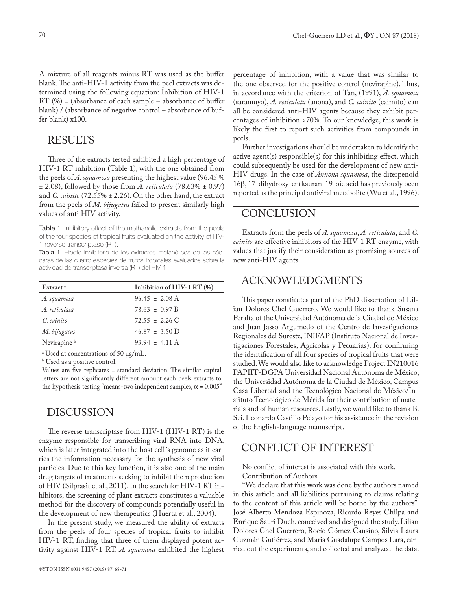A mixture of all reagents minus RT was used as the buffer blank. The anti-HIV-1 activity from the peel extracts was determined using the following equation: Inhibition of HIV-1  $RT$  (%) = (absorbance of each sample – absorbance of buffer blank) / (absorbance of negative control – absorbance of buffer blank) x100.

#### RESULTS

Three of the extracts tested exhibited a high percentage of HIV-1 RT inhibition (Table 1), with the one obtained from the peels of *A. squamosa* presenting the highest value (96.45 % ± 2.08), followed by those from *A. reticulata* (78.63% ± 0.97) and *C. cainito* (72.55% ± 2.26). On the other hand, the extract from the peels of *M. bijugatus* failed to present similarly high values of anti HIV activity.

Table 1. Inhibitory effect of the methanolic extracts from the peels of the four species of tropical fruits evaluated on the activity of HIV-1 reverse transcriptase (RT).

Tabla 1. Efecto inhibitorio de los extractos metanólicos de las cáscaras de las cuatro especies de frutos tropicales evaluados sobre la actividad de transcriptasa inversa (RT) del HIV-1.

| Extract <sup>a</sup>    | Inhibition of $HIV-1 RT$ (%) |
|-------------------------|------------------------------|
| A. squamosa             | $96.45 \pm 2.08$ A           |
| A reticulata            | $78.63 \pm 0.97$ B           |
| $C$ cainito             | $72.55 + 2.26$ C             |
| M. bijugatus            | $46.87 \pm 3.50 \text{ D}$   |
| Nevirapine <sup>b</sup> | $93.94 \pm 4.11$ A           |
|                         |                              |

a Used at concentrations of 50 µg/mL.

b Used as a positive control.

Values are five replicates ± standard deviation. The similar capital letters are not significantly different amount each peels extracts to the hypothesis testing "means-two independent samples,  $\alpha$  = 0.005"

#### DISCUSSION

The reverse transcriptase from HIV-1 (HIV-1 RT) is the enzyme responsible for transcribing viral RNA into DNA, which is later integrated into the host cell´s genome as it carries the information necessary for the synthesis of new viral particles. Due to this key function, it is also one of the main drug targets of treatments seeking to inhibit the reproduction of HIV (Silprasit et al., 2011). In the search for HIV-1 RT inhibitors, the screening of plant extracts constitutes a valuable method for the discovery of compounds potentially useful in the development of new therapeutics (Huerta et al., 2004).

In the present study, we measured the ability of extracts from the peels of four species of tropical fruits to inhibit HIV-1 RT, finding that three of them displayed potent activity against HIV-1 RT. *A. squamosa* exhibited the highest

percentage of inhibition, with a value that was similar to the one observed for the positive control (nevirapine). Thus, in accordance with the criterion of Tan, (1991), *A. squamosa* (saramuyo), *A. reticulata* (anona), and *C. cainito* (caimito) can all be considered anti-HIV agents because they exhibit percentages of inhibition >70%. To our knowledge, this work is likely the first to report such activities from compounds in peels.

Further investigations should be undertaken to identify the active agent(s) responsible(s) for this inhibiting effect, which could subsequently be used for the development of new anti-HIV drugs. In the case of *Annona squamosa*, the diterpenoid 16β, 17-dihydroxy-entkauran-19-oic acid has previously been reported as the principal antiviral metabolite (Wu et al., 1996).

#### CONCLUSION

Extracts from the peels of *A. squamosa*, *A. reticulata*, and *C. cainito* are effective inhibitors of the HIV-1 RT enzyme, with values that justify their consideration as promising sources of new anti-HIV agents.

## ACKNOWLEDGMENTS

This paper constitutes part of the PhD dissertation of Lilian Dolores Chel Guerrero. We would like to thank Susana Peralta of the Universidad Autónoma de la Ciudad de México and Juan Jasso Argumedo of the Centro de Investigaciones Regionales del Sureste, INIFAP (Instituto Nacional de Investigaciones Forestales, Agrícolas y Pecuarias), for confirming the identification of all four species of tropical fruits that were studied. We would also like to acknowledge Project IN210016 PAPIIT-DGPA Universidad Nacional Autónoma de México, the Universidad Autónoma de la Ciudad de México, Campus Casa Libertad and the Tecnológico Nacional de México/Instituto Tecnológico de Mérida for their contribution of materials and of human resources. Lastly, we would like to thank B. Sci. Leonardo Castillo Pelayo for his assistance in the revision of the English-language manuscript.

# CONFLICT OF INTEREST

No conflict of interest is associated with this work. Contribution of Authors

"We declare that this work was done by the authors named in this article and all liabilities pertaining to claims relating to the content of this article will be borne by the authors". José Alberto Mendoza Espinoza, Ricardo Reyes Chilpa and Enrique Sauri Duch, conceived and designed the study. Lilian Dolores Chel Guerrero, Rocío Gómez Cansino, Silvia Laura Guzmán Gutiérrez, and Maria Guadalupe Campos Lara, carried out the experiments, and collected and analyzed the data.